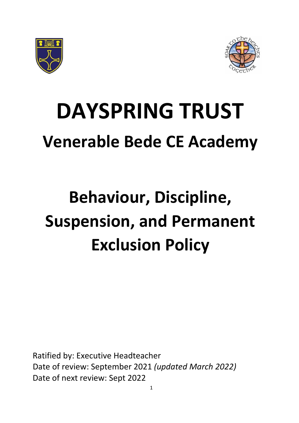



# **DAYSPRING TRUST Venerable Bede CE Academy**

## **Behaviour, Discipline, Suspension, and Permanent Exclusion Policy**

Ratified by: Executive Headteacher Date of review: September 2021 *(updated March 2022)* Date of next review: Sept 2022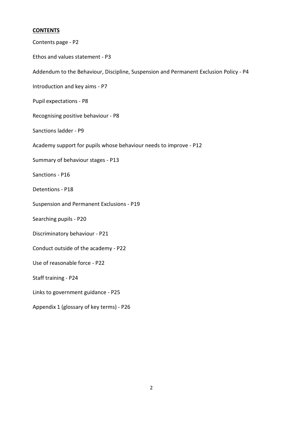### **CONTENTS**

| Contents page - P2                                                                    |
|---------------------------------------------------------------------------------------|
| Ethos and values statement - P3                                                       |
| Addendum to the Behaviour, Discipline, Suspension and Permanent Exclusion Policy - P4 |
| Introduction and key aims - P7                                                        |
| Pupil expectations - P8                                                               |
| Recognising positive behaviour - P8                                                   |
| Sanctions ladder - P9                                                                 |
| Academy support for pupils whose behaviour needs to improve - P12                     |
| Summary of behaviour stages - P13                                                     |
| Sanctions - P16                                                                       |
| Detentions - P18                                                                      |
| Suspension and Permanent Exclusions - P19                                             |
| Searching pupils - P20                                                                |
| Discriminatory behaviour - P21                                                        |
| Conduct outside of the academy - P22                                                  |
| Use of reasonable force - P22                                                         |
| Staff training - P24                                                                  |
| Links to government guidance - P25                                                    |
| Appendix 1 (glossary of key terms) - P26                                              |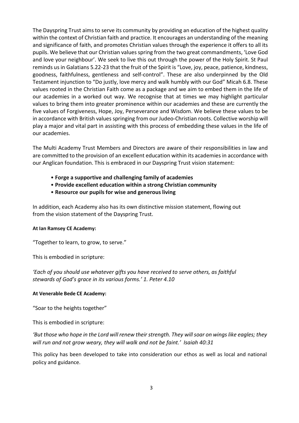The Dayspring Trust aims to serve its community by providing an education of the highest quality within the context of Christian faith and practice. It encourages an understanding of the meaning and significance of faith, and promotes Christian values through the experience it offers to all its pupils. We believe that our Christian values spring from the two great commandments, 'Love God and love your neighbour'. We seek to live this out through the power of the Holy Spirit. St Paul reminds us in Galatians 5.22-23 that the fruit of the Spirit is "Love, joy, peace, patience, kindness, goodness, faithfulness, gentleness and self-control". These are also underpinned by the Old Testament injunction to "Do justly, love mercy and walk humbly with our God" Micah 6.8. These values rooted in the Christian Faith come as a package and we aim to embed them in the life of our academies in a worked out way. We recognise that at times we may highlight particular values to bring them into greater prominence within our academies and these are currently the five values of Forgiveness, Hope, Joy, Perseverance and Wisdom. We believe these values to be in accordance with British values springing from our Judeo-Christian roots. Collective worship will play a major and vital part in assisting with this process of embedding these values in the life of our academies.

The Multi Academy Trust Members and Directors are aware of their responsibilities in law and are committed to the provision of an excellent education within its academies in accordance with our Anglican foundation. This is embraced in our Dayspring Trust vision statement:

- **Forge a supportive and challenging family of academies**
- **Provide excellent education within a strong Christian community**
- **Resource our pupils for wise and generous living**

In addition, each Academy also has its own distinctive mission statement, flowing out from the vision statement of the Dayspring Trust.

#### **At Ian Ramsey CE Academy:**

"Together to learn, to grow, to serve."

This is embodied in scripture:

*'Each of you should use whatever gifts you have received to serve others, as faithful stewards of God's grace in its various forms.' 1. Peter 4.10*

#### **At Venerable Bede CE Academy:**

"Soar to the heights together"

This is embodied in scripture:

*'But those who hope in the Lord will renew theirstrength. They willsoar on wingslike eagles; they will run and not grow weary, they will walk and not be faint.' Isaiah 40:31*

This policy has been developed to take into consideration our ethos as well as local and national policy and guidance.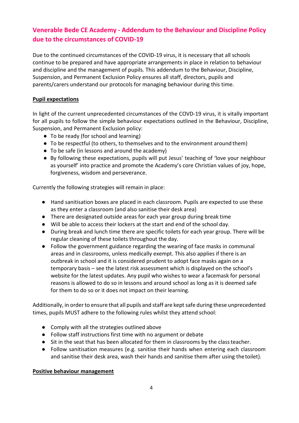## **Venerable Bede CE Academy - Addendum to the Behaviour and Discipline Policy due to the circumstances of COVID-19**

Due to the continued circumstances of the COVID-19 virus, it is necessary that all schools continue to be prepared and have appropriate arrangements in place in relation to behaviour and discipline and the management of pupils. This addendum to the Behaviour, Discipline, Suspension, and Permanent Exclusion Policy ensures all staff, directors, pupils and parents/carers understand our protocols for managing behaviour during this time.

#### **Pupil expectations**

In light of the current unprecedented circumstances of the COVD-19 virus, it is vitally important for all pupils to follow the simple behaviour expectations outlined in the Behaviour, Discipline, Suspension, and Permanent Exclusion policy:

- To be ready (for school and learning)
- To be respectful (to others, to themselves and to the environment around them)
- To be safe (in lessons and around the academy)
- By following these expectations, pupils will put Jesus' teaching of 'love your neighbour as yourself' into practice and promote the Academy's core Christian values of joy, hope, forgiveness, wisdom and perseverance.

Currently the following strategies will remain in place:

- Hand sanitisation boxes are placed in each classroom. Pupils are expected to use these as they enter a classroom (and also sanitise their desk area)
- There are designated outside areas for each year group during break time
- Will be able to access their lockers at the start and end of the school day.
- During break and lunch time there are specific toilets for each year group. There will be regular cleaning of these toilets throughout the day.
- Follow the government guidance regarding the wearing of face masks in communal areas and in classrooms, unless medically exempt. This also applies if there is an outbreak in school and it is considered prudent to adopt face masks again on a temporary basis – see the latest risk assessment which is displayed on the school's website for the latest updates. Any pupil who wishes to wear a facemask for personal reasons is allowed to do so in lessons and around school as long as it is deemed safe for them to do so or it does not impact on their learning.

Additionally, in order to ensure that all pupils and staff are kept safe during these unprecedented times, pupils MUST adhere to the following rules whilst they attend school:

- Comply with all the strategies outlined above
- Follow staff instructions first time with no argument or debate
- Sit in the seat that has been allocated for them in classrooms by the classteacher.
- Follow sanitisation measures (e.g. sanitise their hands when entering each classroom and sanitise their desk area, wash their hands and sanitise them after using thetoilet).

#### **Positive behaviour management**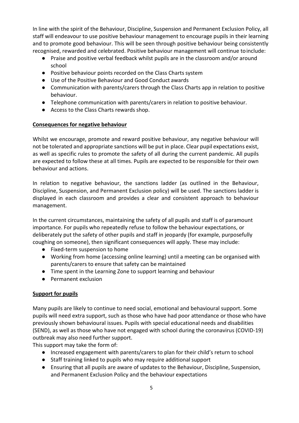In line with the spirit of the Behaviour, Discipline, Suspension and Permanent Exclusion Policy, all staff will endeavour to use positive behaviour management to encourage pupils in their learning and to promote good behaviour. This will be seen through positive behaviour being consistently recognised, rewarded and celebrated. Positive behaviour management will continue toinclude:

- Praise and positive verbal feedback whilst pupils are in the classroom and/or around school
- Positive behaviour points recorded on the Class Charts system
- Use of the Positive Behaviour and Good Conduct awards
- Communication with parents/carers through the Class Charts app in relation to positive behaviour.
- Telephone communication with parents/carers in relation to positive behaviour.
- Access to the Class Charts rewards shop.

#### **Consequences for negative behaviour**

Whilst we encourage, promote and reward positive behaviour, any negative behaviour will not be tolerated and appropriate sanctions will be put in place. Clear pupil expectations exist, as well as specific rules to promote the safety of all during the current pandemic. All pupils are expected to follow these at all times. Pupils are expected to be responsible for their own behaviour and actions.

In relation to negative behaviour, the sanctions ladder (as outlined in the Behaviour, Discipline, Suspension, and Permanent Exclusion policy) will be used. The sanctions ladder is displayed in each classroom and provides a clear and consistent approach to behaviour management.

In the current circumstances, maintaining the safety of all pupils and staff is of paramount importance. For pupils who repeatedly refuse to follow the behaviour expectations, or deliberately put the safety of other pupils and staff in jeopardy (for example, purposefully coughing on someone), then significant consequences will apply. These may include:

- Fixed-term suspension to home
- Working from home (accessing online learning) until a meeting can be organised with parents/carers to ensure that safety can be maintained
- Time spent in the Learning Zone to support learning and behaviour
- Permanent exclusion

#### **Support for pupils**

Many pupils are likely to continue to need social, emotional and behavioural support. Some pupils will need extra support, such as those who have had poor attendance or those who have previously shown behavioural issues. Pupils with special educational needs and disabilities (SEND), as well as those who have not engaged with school during the coronavirus (COVID-19) outbreak may also need further support.

This support may take the form of:

- Increased engagement with parents/carers to plan for their child's return to school
- Staff training linked to pupils who may require additional support
- Ensuring that all pupils are aware of updates to the Behaviour, Discipline, Suspension, and Permanent Exclusion Policy and the behaviour expectations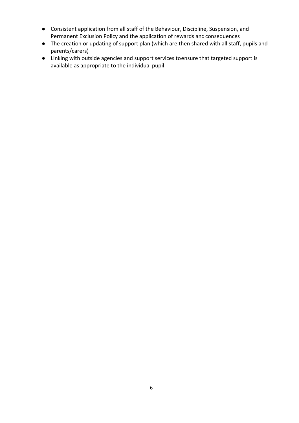- Consistent application from all staff of the Behaviour, Discipline, Suspension, and Permanent Exclusion Policy and the application of rewards andconsequences
- The creation or updating of support plan (which are then shared with all staff, pupils and parents/carers)
- Linking with outside agencies and support services toensure that targeted support is available as appropriate to the individual pupil.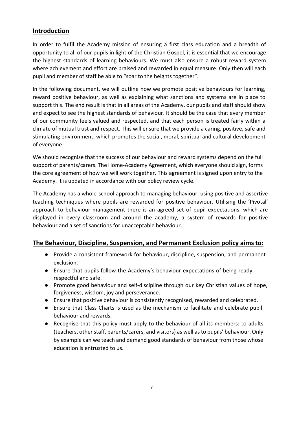## **Introduction**

In order to fulfil the Academy mission of ensuring a first class education and a breadth of opportunity to all of our pupils in light of the Christian Gospel, it is essential that we encourage the highest standards of learning behaviours. We must also ensure a robust reward system where achievement and effort are praised and rewarded in equal measure. Only then will each pupil and member of staff be able to "soar to the heights together".

In the following document, we will outline how we promote positive behaviours for learning, reward positive behaviour, as well as explaining what sanctions and systems are in place to support this. The end result is that in all areas of the Academy, our pupils and staff should show and expect to see the highest standards of behaviour. It should be the case that every member of our community feels valued and respected, and that each person is treated fairly within a climate of mutual trust and respect. This will ensure that we provide a caring, positive, safe and stimulating environment, which promotes the social, moral, spiritual and cultural development of everyone.

We should recognise that the success of our behaviour and reward systems depend on the full support of parents/carers. The Home-Academy Agreement, which everyone should sign, forms the core agreement of how we will work together. This agreement is signed upon entry to the Academy. It is updated in accordance with our policy review cycle.

The Academy has a whole-school approach to managing behaviour, using positive and assertive teaching techniques where pupils are rewarded for positive behaviour. Utilising the 'Pivotal' approach to behaviour management there is an agreed set of pupil expectations, which are displayed in every classroom and around the academy, a system of rewards for positive behaviour and a set of sanctions for unacceptable behaviour.

## **The Behaviour, Discipline, Suspension, and Permanent Exclusion policy aims to:**

- Provide a consistent framework for behaviour, discipline, suspension, and permanent exclusion.
- Ensure that pupils follow the Academy's behaviour expectations of being ready, respectful and safe.
- Promote good behaviour and self-discipline through our key Christian values of hope, forgiveness, wisdom, joy and perseverance.
- Ensure that positive behaviour is consistently recognised, rewarded and celebrated.
- Ensure that Class Charts is used as the mechanism to facilitate and celebrate pupil behaviour and rewards.
- Recognise that this policy must apply to the behaviour of all its members: to adults (teachers, other staff, parents/carers, and visitors) as well as to pupils' behaviour. Only by example can we teach and demand good standards of behaviour from those whose education is entrusted to us.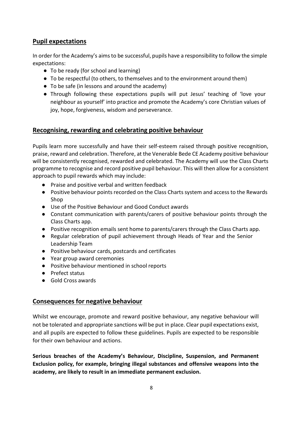## **Pupil expectations**

In order for the Academy's aimsto be successful, pupils have a responsibility to follow the simple expectations:

- To be ready (for school and learning)
- To be respectful (to others, to themselves and to the environment around them)
- To be safe (in lessons and around the academy)
- Through following these expectations pupils will put Jesus' teaching of 'love your neighbour as yourself' into practice and promote the Academy's core Christian values of joy, hope, forgiveness, wisdom and perseverance.

## **Recognising, rewarding and celebrating positive behaviour**

Pupils learn more successfully and have their self-esteem raised through positive recognition, praise, reward and celebration. Therefore, at the Venerable Bede CE Academy positive behaviour will be consistently recognised, rewarded and celebrated. The Academy will use the Class Charts programme to recognise and record positive pupil behaviour. This will then allow for a consistent approach to pupil rewards which may include:

- Praise and positive verbal and written feedback
- Positive behaviour points recorded on the Class Charts system and access to the Rewards Shop
- Use of the Positive Behaviour and Good Conduct awards
- Constant communication with parents/carers of positive behaviour points through the Class Charts app.
- Positive recognition emails sent home to parents/carers through the Class Charts app.
- Regular celebration of pupil achievement through Heads of Year and the Senior Leadership Team
- Positive behaviour cards, postcards and certificates
- Year group award ceremonies
- Positive behaviour mentioned in school reports
- Prefect status
- Gold Cross awards

## **Consequences for negative behaviour**

Whilst we encourage, promote and reward positive behaviour, any negative behaviour will not be tolerated and appropriate sanctions will be put in place. Clear pupil expectations exist, and all pupils are expected to follow these guidelines. Pupils are expected to be responsible for their own behaviour and actions.

**Serious breaches of the Academy's Behaviour, Discipline, Suspension, and Permanent Exclusion policy, for example, bringing illegal substances and offensive weapons into the academy, are likely to result in an immediate permanent exclusion.**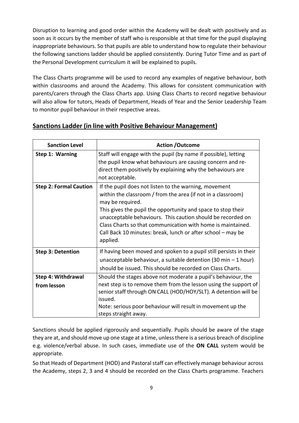Disruption to learning and good order within the Academy will be dealt with positively and as soon as it occurs by the member of staff who is responsible at that time for the pupil displaying inappropriate behaviours. So that pupils are able to understand how to regulate their behaviour the following sanctions ladder should be applied consistently. During Tutor Time and as part of the Personal Development curriculum it will be explained to pupils.

The Class Charts programme will be used to record any examples of negative behaviour, both within classrooms and around the Academy. This allows for consistent communication with parents/carers through the Class Charts app. Using Class Charts to record negative behaviour will also allow for tutors, Heads of Department, Heads of Year and the Senior Leadership Team to monitor pupil behaviour in their respective areas.

## **Sanctions Ladder (in line with Positive Behaviour Management)**

| <b>Sanction Level</b>         | <b>Action /Outcome</b>                                                                                                                                                                                                                                                                                                                                                                                             |  |  |
|-------------------------------|--------------------------------------------------------------------------------------------------------------------------------------------------------------------------------------------------------------------------------------------------------------------------------------------------------------------------------------------------------------------------------------------------------------------|--|--|
| Step 1: Warning               | Staff will engage with the pupil (by name if possible), letting<br>the pupil know what behaviours are causing concern and re-<br>direct them positively by explaining why the behaviours are<br>not acceptable.                                                                                                                                                                                                    |  |  |
| <b>Step 2: Formal Caution</b> | If the pupil does not listen to the warning, movement<br>within the classroom / from the area (if not in a classroom)<br>may be required.<br>This gives the pupil the opportunity and space to stop their<br>unacceptable behaviours. This caution should be recorded on<br>Class Charts so that communication with home is maintained.<br>Call Back 10 minutes: break, lunch or after school - may be<br>applied. |  |  |
| <b>Step 3: Detention</b>      | If having been moved and spoken to a pupil still persists in their<br>unacceptable behaviour, a suitable detention (30 min $-1$ hour)<br>should be issued. This should be recorded on Class Charts.                                                                                                                                                                                                                |  |  |
| <b>Step 4: Withdrawal</b>     | Should the stages above not moderate a pupil's behaviour, the                                                                                                                                                                                                                                                                                                                                                      |  |  |
| from lesson                   | next step is to remove them from the lesson using the support of<br>senior staff through ON CALL (HOD/HOY/SLT). A detention will be<br>issued.<br>Note: serious poor behaviour will result in movement up the<br>steps straight away.                                                                                                                                                                              |  |  |

Sanctions should be applied rigorously and sequentially. Pupils should be aware of the stage they are at, and should move up one stage at a time, unless there is a serious breach of discipline e.g. violence/verbal abuse. In such cases, immediate use of the **ON CALL** system would be appropriate.

So that Heads of Department (HOD) and Pastoral staff can effectively manage behaviour across the Academy, steps 2, 3 and 4 should be recorded on the Class Charts programme. Teachers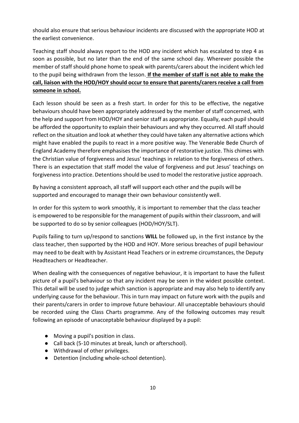should also ensure that serious behaviour incidents are discussed with the appropriate HOD at the earliest convenience.

Teaching staff should always report to the HOD any incident which has escalated to step 4 as soon as possible, but no later than the end of the same school day. Wherever possible the member of staff should phone home to speak with parents/carers about the incident which led to the pupil being withdrawn from the lesson. **If the member of staff is not able to make the call, liaison with the HOD/HOY should occur to ensure that parents/carers receive a call from someone in school.**

Each lesson should be seen as a fresh start. In order for this to be effective, the negative behaviours should have been appropriately addressed by the member of staff concerned, with the help and support from HOD/HOY and senior staff as appropriate. Equally, each pupilshould be afforded the opportunity to explain their behaviours and why they occurred. All staff should reflect on the situation and look at whether they could have taken any alternative actions which might have enabled the pupils to react in a more positive way. The Venerable Bede Church of England Academy therefore emphasises the importance of restorative justice. This chimes with the Christian value of forgiveness and Jesus' teachings in relation to the forgiveness of others. There is an expectation that staff model the value of forgiveness and put Jesus' teachings on forgiveness into practice. Detentions should be used to model the restorative justice approach.

By having a consistent approach, all staff will support each other and the pupils will be supported and encouraged to manage their own behaviour consistently well.

In order for this system to work smoothly, it is important to remember that the class teacher is empowered to be responsible for the management of pupils within their classroom, and will be supported to do so by senior colleagues (HOD/HOY/SLT).

Pupils failing to turn up/respond to sanctions **WILL** be followed up, in the first instance by the class teacher, then supported by the HOD and HOY. More serious breaches of pupil behaviour may need to be dealt with by Assistant Head Teachers or in extreme circumstances, the Deputy Headteachers or Headteacher.

When dealing with the consequences of negative behaviour, it is important to have the fullest picture of a pupil's behaviour so that any incident may be seen in the widest possible context. This detail will be used to judge which sanction is appropriate and may also help to identify any underlying cause for the behaviour. This in turn may impact on future work with the pupils and their parents/carers in order to improve future behaviour. All unacceptable behaviours should be recorded using the Class Charts programme. Any of the following outcomes may result following an episode of unacceptable behaviour displayed by a pupil:

- Moving a pupil's position in class.
- Call back (5-10 minutes at break, lunch or afterschool).
- Withdrawal of other privileges.
- Detention (including whole-school detention).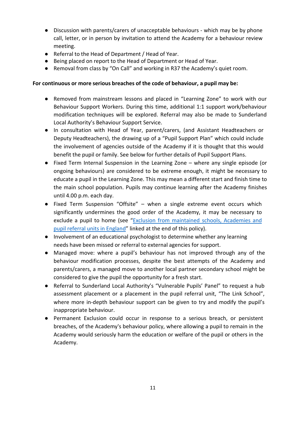- Discussion with parents/carers of unacceptable behaviours which may be by phone call, letter, or in person by invitation to attend the Academy for a behaviour review meeting.
- Referral to the Head of Department / Head of Year.
- Being placed on report to the Head of Department or Head of Year.
- Removal from class by "On Call" and working in R37 the Academy's quiet room.

#### **For continuous or more serious breaches of the code of behaviour, a pupil may be:**

- Removed from mainstream lessons and placed in "Learning Zone" to work with our Behaviour Support Workers. During this time, additional 1:1 support work/behaviour modification techniques will be explored. Referral may also be made to Sunderland Local Authority's Behaviour Support Service.
- In consultation with Head of Year, parent/carers, (and Assistant Headteachers or Deputy Headteachers), the drawing up of a "Pupil Support Plan" which could include the involvement of agencies outside of the Academy if it is thought that this would benefit the pupil or family. See below for further details of Pupil Support Plans.
- Fixed Term Internal Suspension in the Learning Zone where any single episode (or ongoing behaviours) are considered to be extreme enough, it might be necessary to educate a pupil in the Learning Zone. This may mean a different start and finish time to the main school population. Pupils may continue learning after the Academy finishes until 4.00 p.m. each day.
- Fixed Term Suspension "Offsite" when a single extreme event occurs which significantly undermines the good order of the Academy, it may be necessary to exclude a pupil to home (see ["Exclusion from maintained schools, Academies and](https://www.gov.uk/government/publications/school-exclusion) pupil referral units in [England"](https://www.gov.uk/government/publications/school-exclusion) linked at the end of this policy).
- Involvement of an educational psychologist to determine whether any learning needs have been missed or referral to external agencies for support.
- Managed move: where a pupil's behaviour has not improved through any of the behaviour modification processes, despite the best attempts of the Academy and parents/carers, a managed move to another local partner secondary school might be considered to give the pupil the opportunity for a fresh start.
- Referral to Sunderland Local Authority's "Vulnerable Pupils' Panel" to request a hub assessment placement or a placement in the pupil referral unit, "The Link School", where more in-depth behaviour support can be given to try and modify the pupil's inappropriate behaviour.
- Permanent Exclusion could occur in response to a serious breach, or persistent breaches, of the Academy's behaviour policy, where allowing a pupil to remain in the Academy would seriously harm the education or welfare of the pupil or others in the Academy.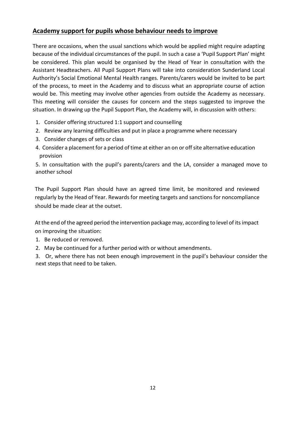## **Academy support for pupils whose behaviour needs to improve**

There are occasions, when the usual sanctions which would be applied might require adapting because of the individual circumstances of the pupil. In such a case a 'Pupil Support Plan' might be considered. This plan would be organised by the Head of Year in consultation with the Assistant Headteachers. All Pupil Support Plans will take into consideration Sunderland Local Authority's Social Emotional Mental Health ranges. Parents/carers would be invited to be part of the process, to meet in the Academy and to discuss what an appropriate course of action would be. This meeting may involve other agencies from outside the Academy as necessary. This meeting will consider the causes for concern and the steps suggested to improve the situation. In drawing up the Pupil Support Plan, the Academy will, in discussion with others:

- 1. Consider offering structured 1:1 support and counselling
- 2. Review any learning difficulties and put in place a programme where necessary
- 3. Consider changes of sets or class
- 4. Consider a placement for a period of time at either an on or off site alternative education provision

5. In consultation with the pupil's parents/carers and the LA, consider a managed move to another school

The Pupil Support Plan should have an agreed time limit, be monitored and reviewed regularly by the Head of Year. Rewards for meeting targets and sanctions for noncompliance should be made clear at the outset.

Atthe end ofthe agreed period the intervention package may, according to level of itsimpact on improving the situation:

- 1. Be reduced or removed.
- 2. May be continued for a further period with or without amendments.

3. Or, where there has not been enough improvement in the pupil's behaviour consider the next steps that need to be taken.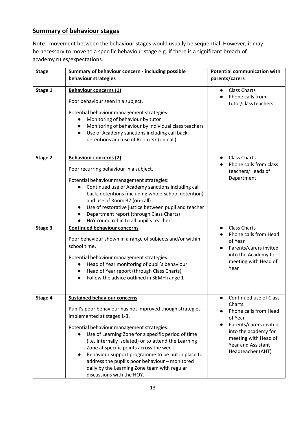## **Summary of behaviour stages**

Note - movement between the behaviour stages would usually be sequential. However, it may be necessary to move to a specific behaviour stage e.g. if there is a significant breach of academy rules/expectations.

| <b>Stage</b> | Summary of behaviour concern - including possible<br>behaviour strategies                                                                                                                                                                                                                                                                                                                                                                                                                                                  | <b>Potential communication with</b><br>parents/carers                                                                                                                                            |  |
|--------------|----------------------------------------------------------------------------------------------------------------------------------------------------------------------------------------------------------------------------------------------------------------------------------------------------------------------------------------------------------------------------------------------------------------------------------------------------------------------------------------------------------------------------|--------------------------------------------------------------------------------------------------------------------------------------------------------------------------------------------------|--|
| Stage 1      | <b>Behaviour concerns (1)</b><br>Poor behaviour seen in a subject.<br>Potential behaviour management strategies:<br>Monitoring of behaviour by tutor<br>Monitoring of behaviour by individual class teachers<br>Use of Academy sanctions including call back,<br>detentions and use of Room 37 (on-call)                                                                                                                                                                                                                   | <b>Class Charts</b><br>Phone calls from<br>tutor/class teachers                                                                                                                                  |  |
| Stage 2      | <b>Behaviour concerns (2)</b><br>Poor recurring behaviour in a subject.<br>Potential behaviour management strategies:<br>Continued use of Academy sanctions including call<br>back, detentions (including whole-school detention)<br>and use of Room 37 (on-call)<br>Use of restorative justice between pupil and teacher<br>Department report (through Class Charts)<br>HoY round robin to all pupil's teachers                                                                                                           | <b>Class Charts</b><br>$\bullet$<br>Phone calls from class<br>teachers/Heads of<br>Department                                                                                                    |  |
| Stage 3      | <b>Continued behaviour concerns</b><br>Poor behaviour shown in a range of subjects and/or within<br>school time.<br>Potential behaviour management strategies:<br>Head of Year monitoring of pupil's behaviour<br>$\bullet$<br>Head of Year report (through Class Charts)<br>Follow the advice outlined in SEMH range 1                                                                                                                                                                                                    | <b>Class Charts</b><br>$\bullet$<br>Phone calls from Head<br>of Year<br>Parents/carers invited<br>into the Academy for<br>meeting with Head of<br>Year                                           |  |
| Stage 4      | <b>Sustained behaviour concerns</b><br>Pupil's poor behaviour has not improved though strategies<br>implemented at stages 1-3.<br>Potential behaviour management strategies:<br>Use of Learning Zone for a specific period of time<br>(i.e. internally isolated) or to attend the Learning<br>Zone at specific points across the week.<br>Behaviour support programme to be put in place to<br>address the pupil's poor behaviour - monitored<br>daily by the Learning Zone team with regular<br>discussions with the HOY. | Continued use of Class<br>Charts<br>Phone calls from Head<br>of Year<br>Parents/carers invited<br>into the academy for<br>meeting with Head of<br><b>Year and Assistant</b><br>Headteacher (AHT) |  |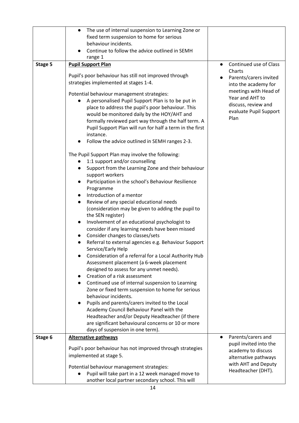|         | The use of internal suspension to Learning Zone or<br>$\bullet$<br>fixed term suspension to home for serious<br>behaviour incidents.                                                                                                                                                                                                                                                  |                                                                                                                   |
|---------|---------------------------------------------------------------------------------------------------------------------------------------------------------------------------------------------------------------------------------------------------------------------------------------------------------------------------------------------------------------------------------------|-------------------------------------------------------------------------------------------------------------------|
|         | Continue to follow the advice outlined in SEMH<br>range 1                                                                                                                                                                                                                                                                                                                             |                                                                                                                   |
| Stage 5 | <b>Pupil Support Plan</b>                                                                                                                                                                                                                                                                                                                                                             | Continued use of Class<br>$\bullet$                                                                               |
|         | Pupil's poor behaviour has still not improved through<br>strategies implemented at stages 1-4.                                                                                                                                                                                                                                                                                        | Charts<br>Parents/carers invited<br>into the academy for                                                          |
|         | Potential behaviour management strategies:<br>A personalised Pupil Support Plan is to be put in<br>place to address the pupil's poor behaviour. This<br>would be monitored daily by the HOY/AHT and<br>formally reviewed part way through the half term. A<br>Pupil Support Plan will run for half a term in the first<br>instance.<br>Follow the advice outlined in SEMH ranges 2-3. | meetings with Head of<br>Year and AHT to<br>discuss, review and<br>evaluate Pupil Support<br>Plan                 |
|         | The Pupil Support Plan may involve the following:<br>1:1 support and/or counselling<br>Support from the Learning Zone and their behaviour<br>support workers                                                                                                                                                                                                                          |                                                                                                                   |
|         | Participation in the school's Behaviour Resilience<br>$\bullet$<br>Programme<br>Introduction of a mentor<br>$\bullet$                                                                                                                                                                                                                                                                 |                                                                                                                   |
|         | Review of any special educational needs<br>$\bullet$<br>(consideration may be given to adding the pupil to<br>the SEN register)                                                                                                                                                                                                                                                       |                                                                                                                   |
|         | Involvement of an educational psychologist to<br>$\bullet$<br>consider if any learning needs have been missed<br>Consider changes to classes/sets<br>$\bullet$                                                                                                                                                                                                                        |                                                                                                                   |
|         | Referral to external agencies e.g. Behaviour Support<br>Service/Early Help<br>Consideration of a referral for a Local Authority Hub                                                                                                                                                                                                                                                   |                                                                                                                   |
|         | Assessment placement (a 6-week placement<br>designed to assess for any unmet needs).                                                                                                                                                                                                                                                                                                  |                                                                                                                   |
|         | Creation of a risk assessment<br>Continued use of internal suspension to Learning<br>Zone or fixed term suspension to home for serious<br>behaviour incidents.                                                                                                                                                                                                                        |                                                                                                                   |
|         | Pupils and parents/carers invited to the Local<br>$\bullet$<br>Academy Council Behaviour Panel with the<br>Headteacher and/or Deputy Headteacher (if there<br>are significant behavioural concerns or 10 or more                                                                                                                                                                      |                                                                                                                   |
|         | days of suspension in one term).                                                                                                                                                                                                                                                                                                                                                      | $\bullet$                                                                                                         |
| Stage 6 | <b>Alternative pathways</b><br>Pupil's poor behaviour has not improved through strategies<br>implemented at stage 5.                                                                                                                                                                                                                                                                  | Parents/carers and<br>pupil invited into the<br>academy to discuss<br>alternative pathways<br>with AHT and Deputy |
|         | Potential behaviour management strategies:<br>Pupil will take part in a 12 week managed move to<br>another local partner secondary school. This will                                                                                                                                                                                                                                  | Headteacher (DHT).                                                                                                |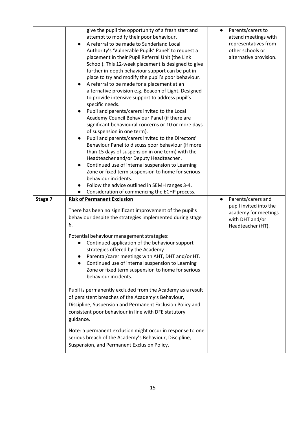|         | give the pupil the opportunity of a fresh start and                                                   | Parents/carers to      |
|---------|-------------------------------------------------------------------------------------------------------|------------------------|
|         | attempt to modify their poor behaviour.                                                               | attend meetings with   |
|         | A referral to be made to Sunderland Local                                                             | representatives from   |
|         | Authority's 'Vulnerable Pupils' Panel' to request a                                                   | other schools or       |
|         | placement in their Pupil Referral Unit (the Link                                                      | alternative provision. |
|         | School). This 12-week placement is designed to give                                                   |                        |
|         | further in-depth behaviour support can be put in                                                      |                        |
|         | place to try and modify the pupil's poor behaviour.                                                   |                        |
|         | A referral to be made for a placement at an<br>$\bullet$                                              |                        |
|         | alternative provision e.g. Beacon of Light. Designed                                                  |                        |
|         | to provide intensive support to address pupil's                                                       |                        |
|         | specific needs.                                                                                       |                        |
|         | Pupil and parents/carers invited to the Local                                                         |                        |
|         | Academy Council Behaviour Panel (if there are                                                         |                        |
|         | significant behavioural concerns or 10 or more days                                                   |                        |
|         | of suspension in one term).                                                                           |                        |
|         | Pupil and parents/carers invited to the Directors'<br>$\bullet$                                       |                        |
|         | Behaviour Panel to discuss poor behaviour (if more                                                    |                        |
|         |                                                                                                       |                        |
|         | than 15 days of suspension in one term) with the                                                      |                        |
|         | Headteacher and/or Deputy Headteacher.                                                                |                        |
|         | Continued use of internal suspension to Learning<br>$\bullet$                                         |                        |
|         | Zone or fixed term suspension to home for serious                                                     |                        |
|         | behaviour incidents.                                                                                  |                        |
|         | Follow the advice outlined in SEMH ranges 3-4.                                                        |                        |
|         | Consideration of commencing the ECHP process.                                                         |                        |
|         |                                                                                                       |                        |
| Stage 7 | <b>Risk of Permanent Exclusion</b>                                                                    | Parents/carers and     |
|         |                                                                                                       | pupil invited into the |
|         | There has been no significant improvement of the pupil's                                              | academy for meetings   |
|         | behaviour despite the strategies implemented during stage                                             | with DHT and/or        |
|         | 6.                                                                                                    | Headteacher (HT).      |
|         |                                                                                                       |                        |
|         | Potential behaviour management strategies:                                                            |                        |
|         | Continued application of the behaviour support                                                        |                        |
|         | strategies offered by the Academy                                                                     |                        |
|         | Parental/carer meetings with AHT, DHT and/or HT.                                                      |                        |
|         | Continued use of internal suspension to Learning                                                      |                        |
|         | Zone or fixed term suspension to home for serious                                                     |                        |
|         | behaviour incidents.                                                                                  |                        |
|         |                                                                                                       |                        |
|         | Pupil is permanently excluded from the Academy as a result                                            |                        |
|         | of persistent breaches of the Academy's Behaviour,                                                    |                        |
|         | Discipline, Suspension and Permanent Exclusion Policy and                                             |                        |
|         | consistent poor behaviour in line with DFE statutory                                                  |                        |
|         | guidance.                                                                                             |                        |
|         |                                                                                                       |                        |
|         | Note: a permanent exclusion might occur in response to one                                            |                        |
|         | serious breach of the Academy's Behaviour, Discipline,<br>Suspension, and Permanent Exclusion Policy. |                        |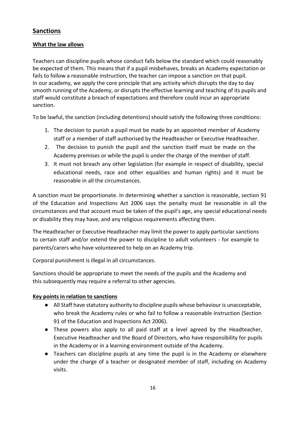## **Sanctions**

#### **What the law allows**

Teachers can discipline pupils whose conduct falls below the standard which could reasonably be expected of them. This means that if a pupil misbehaves, breaks an Academy expectation or fails to follow a reasonable instruction, the teacher can impose a sanction on that pupil. In our academy, we apply the core principle that any activity which disrupts the day to day smooth running of the Academy, or disrupts the effective learning and teaching of its pupils and staff would constitute a breach of expectations and therefore could incur an appropriate sanction.

To be lawful, the sanction (including detentions) should satisfy the following three conditions:

- 1. The decision to punish a pupil must be made by an appointed member of Academy staff or a member of staff authorised by the Headteacher or Executive Headteacher.
- 2. The decision to punish the pupil and the sanction itself must be made on the Academy premises or while the pupil is under the charge of the member of staff.
- 3. It must not breach any other legislation (for example in respect of disability, special educational needs, race and other equalities and human rights) and it must be reasonable in all the circumstances.

A sanction must be proportionate. In determining whether a sanction is reasonable, section 91 of the Education and Inspections Act 2006 says the penalty must be reasonable in all the circumstances and that account must be taken of the pupil's age, any special educational needs or disability they may have, and any religious requirements affecting them.

The Headteacher or Executive Headteacher may limit the power to apply particular sanctions to certain staff and/or extend the power to discipline to adult volunteers - for example to parents/carers who have volunteered to help on an Academy trip.

Corporal punishment is illegal in all circumstances.

Sanctions should be appropriate to meet the needs of the pupils and the Academy and this subsequently may require a referral to other agencies.

#### **Key points in relation to sanctions**

- All Staff have statutory authority to discipline pupils whose behaviour is unacceptable, who break the Academy rules or who fail to follow a reasonable instruction (Section 91 of the Education and Inspections Act 2006).
- These powers also apply to all paid staff at a level agreed by the Headteacher, Executive Headteacher and the Board of Directors, who have responsibility for pupils in the Academy or in a learning environment outside of the Academy.
- Teachers can discipline pupils at any time the pupil is in the Academy or elsewhere under the charge of a teacher or designated member of staff, including on Academy visits.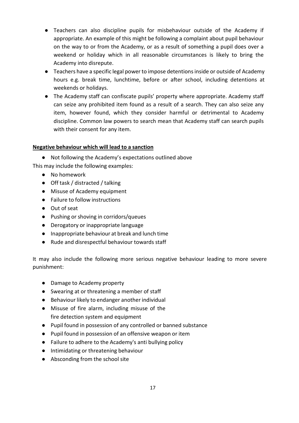- Teachers can also discipline pupils for misbehaviour outside of the Academy if appropriate. An example of this might be following a complaint about pupil behaviour on the way to or from the Academy, or as a result of something a pupil does over a weekend or holiday which in all reasonable circumstances is likely to bring the Academy into disrepute.
- Teachers have a specific legal power to impose detentions inside or outside of Academy hours e.g. break time, lunchtime, before or after school, including detentions at weekends or holidays.
- The Academy staff can confiscate pupils' property where appropriate. Academy staff can seize any prohibited item found as a result of a search. They can also seize any item, however found, which they consider harmful or detrimental to Academy discipline. Common law powers to search mean that Academy staff can search pupils with their consent for any item.

#### **Negative behaviour which will lead to a sanction**

● Not following the Academy's expectations outlined above

This may include the following examples:

- No homework
- Off task / distracted / talking
- Misuse of Academy equipment
- Failure to follow instructions
- Out of seat
- Pushing or shoving in corridors/queues
- Derogatory or inappropriate language
- Inappropriate behaviour at break and lunch time
- Rude and disrespectful behaviour towards staff

It may also include the following more serious negative behaviour leading to more severe punishment:

- Damage to Academy property
- Swearing at or threatening a member of staff
- Behaviour likely to endanger another individual
- Misuse of fire alarm, including misuse of the fire detection system and equipment
- Pupil found in possession of any controlled or banned substance
- Pupil found in possession of an offensive weapon or item
- Failure to adhere to the Academy's anti bullying policy
- Intimidating or threatening behaviour
- Absconding from the school site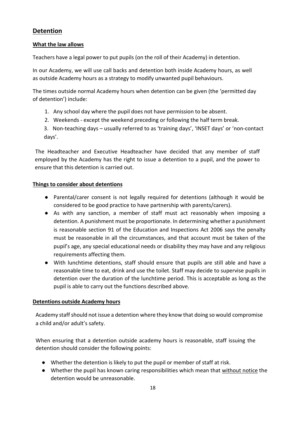## **Detention**

#### **What the law allows**

Teachers have a legal power to put pupils (on the roll of their Academy) in detention.

In our Academy, we will use call backs and detention both inside Academy hours, as well as outside Academy hours as a strategy to modify unwanted pupil behaviours.

The times outside normal Academy hours when detention can be given (the 'permitted day of detention') include:

- 1. Any school day where the pupil does not have permission to be absent.
- 2. Weekends except the weekend preceding or following the half term break.
- 3. Non-teaching days usually referred to as 'training days', 'INSET days' or 'non-contact days'.

The Headteacher and Executive Headteacher have decided that any member of staff employed by the Academy has the right to issue a detention to a pupil, and the power to ensure that this detention is carried out.

#### **Things to consider about detentions**

- Parental/carer consent is not legally required for detentions (although it would be considered to be good practice to have partnership with parents/carers).
- As with any sanction, a member of staff must act reasonably when imposing a detention. A punishment must be proportionate. In determining whether a punishment is reasonable section 91 of the Education and Inspections Act 2006 says the penalty must be reasonable in all the circumstances, and that account must be taken of the pupil's age, any special educational needs or disability they may have and any religious requirements affecting them.
- With lunchtime detentions, staff should ensure that pupils are still able and have a reasonable time to eat, drink and use the toilet. Staff may decide to supervise pupils in detention over the duration of the lunchtime period. This is acceptable as long as the pupil is able to carry out the functions described above.

#### **Detentions outside Academy hours**

Academy staff should not issue a detention where they know that doing so would compromise a child and/or adult's safety.

When ensuring that a detention outside academy hours is reasonable, staff issuing the detention should consider the following points:

- Whether the detention is likely to put the pupil or member of staff at risk.
- Whether the pupil has known caring responsibilities which mean that without notice the detention would be unreasonable.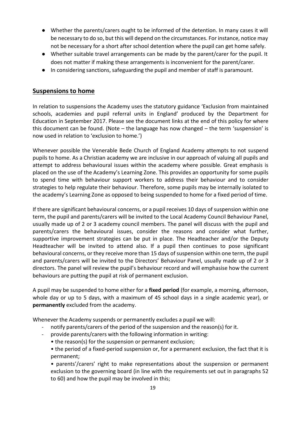- Whether the parents/carers ought to be informed of the detention. In many cases it will be necessary to do so, but this will depend on the circumstances. For instance, notice may not be necessary for a short after school detention where the pupil can get home safely.
- Whether suitable travel arrangements can be made by the parent/carer for the pupil. It does not matter if making these arrangements is inconvenient for the parent/carer.
- In considering sanctions, safeguarding the pupil and member of staff is paramount.

#### **Suspensions to home**

In relation to suspensions the Academy uses the statutory guidance 'Exclusion from maintained schools, academies and pupil referral units in England' produced by the Department for Education in September 2017. Please see the document links at the end of this policy for where this document can be found. (Note – the language has now changed – the term 'suspension' is now used in relation to 'exclusion to home.')

Whenever possible the Venerable Bede Church of England Academy attempts to not suspend pupils to home. As a Christian academy we are inclusive in our approach of valuing all pupils and attempt to address behavioural issues within the academy where possible. Great emphasis is placed on the use of the Academy's Learning Zone. This provides an opportunity for some pupils to spend time with behaviour support workers to address their behaviour and to consider strategies to help regulate their behaviour. Therefore, some pupils may be internally isolated to the academy's Learning Zone as opposed to being suspended to home for a fixed period of time.

If there are significant behavioural concerns, or a pupil receives 10 days of suspension within one term, the pupil and parents/carers will be invited to the Local Academy Council Behaviour Panel, usually made up of 2 or 3 academy council members. The panel will discuss with the pupil and parents/carers the behavioural issues, consider the reasons and consider what further, supportive improvement strategies can be put in place. The Headteacher and/or the Deputy Headteacher will be invited to attend also. If a pupil then continues to pose significant behavioural concerns, or they receive more than 15 days of suspension within one term, the pupil and parents/carers will be invited to the Directors' Behaviour Panel, usually made up of 2 or 3 directors. The panel will review the pupil's behaviour record and will emphasise how the current behaviours are putting the pupil at risk of permanent exclusion.

A pupil may be suspended to home either for a **fixed period** (for example, a morning, afternoon, whole day or up to 5 days, with a maximum of 45 school days in a single academic year), or **permanently** excluded from the academy.

Whenever the Academy suspends or permanently excludes a pupil we will:

- notify parents/carers of the period of the suspension and the reason(s) for it.
- provide parents/carers with the following information in writing:
	- the reason(s) for the suspension or permanent exclusion;
	- the period of a fixed-period suspension or, for a permanent exclusion, the fact that it is permanent;
	- parents'/carers' right to make representations about the suspension or permanent exclusion to the governing board (in line with the requirements set out in paragraphs 52 to 60) and how the pupil may be involved in this;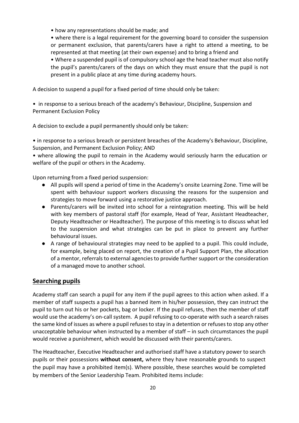• how any representations should be made; and

• where there is a legal requirement for the governing board to consider the suspension or permanent exclusion, that parents/carers have a right to attend a meeting, to be represented at that meeting (at their own expense) and to bring a friend and

• Where a suspended pupil is of compulsory school age the head teacher must also notify the pupil's parents/carers of the days on which they must ensure that the pupil is not present in a public place at any time during academy hours.

A decision to suspend a pupil for a fixed period of time should only be taken:

• in response to a serious breach of the academy's Behaviour, Discipline, Suspension and Permanent Exclusion Policy

A decision to exclude a pupil permanently should only be taken:

• in response to a serious breach or persistent breaches of the Academy's Behaviour, Discipline, Suspension, and Permanent Exclusion Policy; AND

• where allowing the pupil to remain in the Academy would seriously harm the education or welfare of the pupil or others in the Academy.

Upon returning from a fixed period suspension:

- All pupils will spend a period of time in the Academy's onsite Learning Zone. Time will be spent with behaviour support workers discussing the reasons for the suspension and strategies to move forward using a restorative justice approach.
- Parents/carers will be invited into school for a reintegration meeting. This will be held with key members of pastoral staff (for example, Head of Year, Assistant Headteacher, Deputy Headteacher or Headteacher). The purpose of this meeting is to discuss what led to the suspension and what strategies can be put in place to prevent any further behavioural issues.
- A range of behavioural strategies may need to be applied to a pupil. This could include, for example, being placed on report, the creation of a Pupil Support Plan, the allocation of a mentor, referrals to external agencies to provide further support or the consideration of a managed move to another school.

## **Searching pupils**

Academy staff can search a pupil for any item if the pupil agrees to this action when asked. If a member of staff suspects a pupil has a banned item in his/her possession, they can instruct the pupil to turn out his or her pockets, bag or locker. If the pupil refuses, then the member of staff would use the academy's on-call system. A pupil refusing to co-operate with such a search raises the same kind of issues as where a pupil refusesto stay in a detention or refusesto stop any other unacceptable behaviour when instructed by a member of staff – in such circumstances the pupil would receive a punishment, which would be discussed with their parents/carers.

The Headteacher, Executive Headteacher and authorised staff have a statutory power to search pupils or their possessions **without consent,** where they have reasonable grounds to suspect the pupil may have a prohibited item(s). Where possible, these searches would be completed by members of the Senior Leadership Team. Prohibited items include: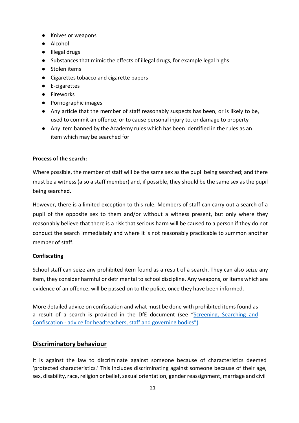- Knives or weapons
- Alcohol
- Illegal drugs
- Substances that mimic the effects of illegal drugs, for example legal highs
- Stolen items
- Cigarettes tobacco and cigarette papers
- E-cigarettes
- Fireworks
- Pornographic images
- Any article that the member of staff reasonably suspects has been, or is likely to be, used to commit an offence, or to cause personal injury to, or damage to property
- Any item banned by the Academy rules which has been identified in the rules as an item which may be searched for

## **Process of the search:**

Where possible, the member of staff will be the same sex as the pupil being searched; and there must be a witness (also a staff member) and, if possible, they should be the same sex as the pupil being searched.

However, there is a limited exception to this rule. Members of staff can carry out a search of a pupil of the opposite sex to them and/or without a witness present, but only where they reasonably believe that there is a risk that serious harm will be caused to a person if they do not conduct the search immediately and where it is not reasonably practicable to summon another member of staff.

## **Confiscating**

School staff can seize any prohibited item found as a result of a search. They can also seize any item, they consider harmful or detrimental to school discipline. Any weapons, or items which are evidence of an offence, will be passed on to the police, once they have been informed.

More detailed advice on confiscation and what must be done with prohibited items found as a result of a search is provided in the DfE document (see ["Screening,](https://assets.publishing.service.gov.uk/government/uploads/system/uploads/attachment_data/file/674416/Searching_screening_and_confiscation.pdf) Searching and Confiscation - advice for [headteachers,](https://assets.publishing.service.gov.uk/government/uploads/system/uploads/attachment_data/file/674416/Searching_screening_and_confiscation.pdf) staff and governing bodies")

## **Discriminatory behaviour**

It is against the law to discriminate against someone because of characteristics deemed 'protected characteristics.' This includes discriminating against someone because of their age, sex, disability, race, religion or belief, sexual orientation, gender reassignment, marriage and civil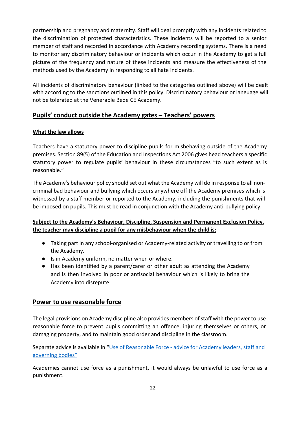partnership and pregnancy and maternity. Staff will deal promptly with any incidents related to the discrimination of protected characteristics. These incidents will be reported to a senior member of staff and recorded in accordance with Academy recording systems. There is a need to monitor any discriminatory behaviour or incidents which occur in the Academy to get a full picture of the frequency and nature of these incidents and measure the effectiveness of the methods used by the Academy in responding to all hate incidents.

All incidents of discriminatory behaviour (linked to the categories outlined above) will be dealt with according to the sanctions outlined in this policy. Discriminatory behaviour or language will not be tolerated at the Venerable Bede CE Academy.

## **Pupils' conduct outside the Academy gates – Teachers' powers**

#### **What the law allows**

Teachers have a statutory power to discipline pupils for misbehaving outside of the Academy premises. Section 89(5) of the Education and Inspections Act 2006 gives head teachers a specific statutory power to regulate pupils' behaviour in these circumstances "to such extent as is reasonable."

The Academy's behaviour policy should set out what the Academy will do in response to all noncriminal bad behaviour and bullying which occurs anywhere off the Academy premises which is witnessed by a staff member or reported to the Academy, including the punishments that will be imposed on pupils. This must be read in conjunction with the Academy anti-bullying policy.

#### **Subject to the Academy's Behaviour, Discipline, Suspension and Permanent Exclusion Policy, the teacher may discipline a pupil for any misbehaviour when the child is:**

- Taking part in any school-organised or Academy-related activity or travelling to or from the Academy.
- Is in Academy uniform, no matter when or where.
- Has been identified by a parent/carer or other adult as attending the Academy and is then involved in poor or antisocial behaviour which is likely to bring the Academy into disrepute.

## **Power to use reasonable force**

The legal provisions on Academy discipline also provides members of staff with the power to use reasonable force to prevent pupils committing an offence, injuring themselves or others, or damaging property, and to maintain good order and discipline in the classroom.

Separate advice is available in "Use of [Reasonable](https://assets.publishing.service.gov.uk/government/uploads/system/uploads/attachment_data/file/444051/Use_of_reasonable_force_advice_Reviewed_July_2015.pdf) Force - advice for Academy leaders, staff and [governing](https://assets.publishing.service.gov.uk/government/uploads/system/uploads/attachment_data/file/444051/Use_of_reasonable_force_advice_Reviewed_July_2015.pdf) bodies"

Academies cannot use force as a punishment, it would always be unlawful to use force as a punishment.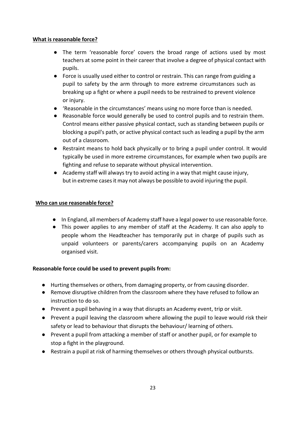#### **What is reasonable force?**

- The term 'reasonable force' covers the broad range of actions used by most teachers at some point in their career that involve a degree of physical contact with pupils.
- Force is usually used either to control or restrain. This can range from guiding a pupil to safety by the arm through to more extreme circumstances such as breaking up a fight or where a pupil needs to be restrained to prevent violence or injury.
- 'Reasonable in the circumstances' means using no more force than is needed.
- Reasonable force would generally be used to control pupils and to restrain them. Control means either passive physical contact, such as standing between pupils or blocking a pupil's path, or active physical contact such as leading a pupil by the arm out of a classroom.
- Restraint means to hold back physically or to bring a pupil under control. It would typically be used in more extreme circumstances, for example when two pupils are fighting and refuse to separate without physical intervention.
- Academy staff will always try to avoid acting in a way that might cause injury, but in extreme casesit may not always be possible to avoid injuring the pupil.

#### **Who can use reasonable force?**

- In England, all members of Academy staff have a legal powerto use reasonable force.
- This power applies to any member of staff at the Academy. It can also apply to people whom the Headteacher has temporarily put in charge of pupils such as unpaid volunteers or parents/carers accompanying pupils on an Academy organised visit.

#### **Reasonable force could be used to prevent pupils from:**

- Hurting themselves or others, from damaging property, or from causing disorder.
- Remove disruptive children from the classroom where they have refused to follow an instruction to do so.
- Prevent a pupil behaving in a way that disrupts an Academy event, trip or visit.
- Prevent a pupil leaving the classroom where allowing the pupil to leave would risk their safety or lead to behaviour that disrupts the behaviour/ learning of others.
- Prevent a pupil from attacking a member of staff or another pupil, or for example to stop a fight in the playground.
- Restrain a pupil at risk of harming themselves or others through physical outbursts.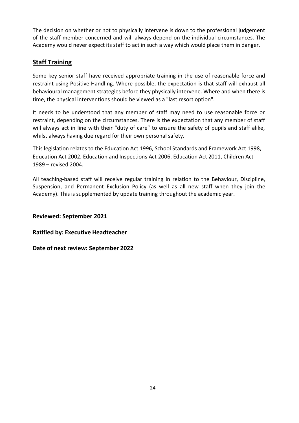The decision on whether or not to physically intervene is down to the professional judgement of the staff member concerned and will always depend on the individual circumstances. The Academy would never expect its staff to act in such a way which would place them in danger.

## **Staff Training**

Some key senior staff have received appropriate training in the use of reasonable force and restraint using Positive Handling. Where possible, the expectation is that staff will exhaust all behavioural management strategies before they physically intervene. Where and when there is time, the physical interventions should be viewed as a "last resort option".

It needs to be understood that any member of staff may need to use reasonable force or restraint, depending on the circumstances. There is the expectation that any member of staff will always act in line with their "duty of care" to ensure the safety of pupils and staff alike, whilst always having due regard for their own personal safety.

This legislation relates to the Education Act 1996, School Standards and Framework Act 1998, Education Act 2002, Education and Inspections Act 2006, Education Act 2011, Children Act 1989 – revised 2004.

All teaching-based staff will receive regular training in relation to the Behaviour, Discipline, Suspension, and Permanent Exclusion Policy (as well as all new staff when they join the Academy). This is supplemented by update training throughout the academic year.

**Reviewed: September 2021**

**Ratified by: Executive Headteacher**

**Date of next review: September 2022**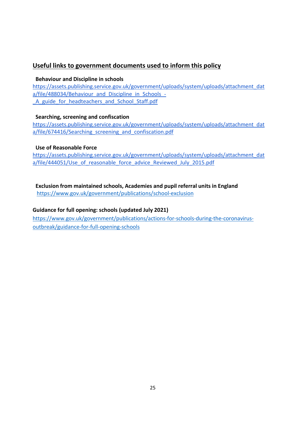## **Useful links to government documents used to inform this policy**

#### **Behaviour and Discipline in schools**

[https://assets.publishing.service.gov.uk/government/uploads/system/uploads/attachment\\_dat](https://assets.publishing.service.gov.uk/government/uploads/system/uploads/attachment_data/file/488034/Behaviour_and_Discipline_in_Schools_-_A_guide_for_headteachers_and_School_Staff.pdf) [a/file/488034/Behaviour\\_and\\_Discipline\\_in\\_Schools\\_-](https://assets.publishing.service.gov.uk/government/uploads/system/uploads/attachment_data/file/488034/Behaviour_and_Discipline_in_Schools_-_A_guide_for_headteachers_and_School_Staff.pdf) A guide for headteachers and School Staff.pdf

#### **Searching, screening and confiscation**

[https://assets.publishing.service.gov.uk/government/uploads/system/uploads/attachment\\_dat](https://assets.publishing.service.gov.uk/government/uploads/system/uploads/attachment_data/file/674416/Searching_screening_and_confiscation.pdf) [a/file/674416/Searching\\_screening\\_and\\_confiscation.pdf](https://assets.publishing.service.gov.uk/government/uploads/system/uploads/attachment_data/file/674416/Searching_screening_and_confiscation.pdf)

#### **Use of Reasonable Force**

[https://assets.publishing.service.gov.uk/government/uploads/system/uploads/attachment\\_dat](https://assets.publishing.service.gov.uk/government/uploads/system/uploads/attachment_data/file/444051/Use_of_reasonable_force_advice_Reviewed_July_2015.pdf) a/file/444051/Use of reasonable force advice Reviewed July 2015.pdf

**Exclusion from maintained schools, Academies and pupil referral units in England** <https://www.gov.uk/government/publications/school-exclusion>

#### **Guidance for full opening: schools (updated July 2021)**

[https://www.gov.uk/government/publications/actions-for-schools-during-the-coronavirus](https://www.gov.uk/government/publications/actions-for-schools-during-the-coronavirus-outbreak/guidance-for-full-opening-schools)[outbreak/guidance-for-full-opening-schools](https://www.gov.uk/government/publications/actions-for-schools-during-the-coronavirus-outbreak/guidance-for-full-opening-schools)